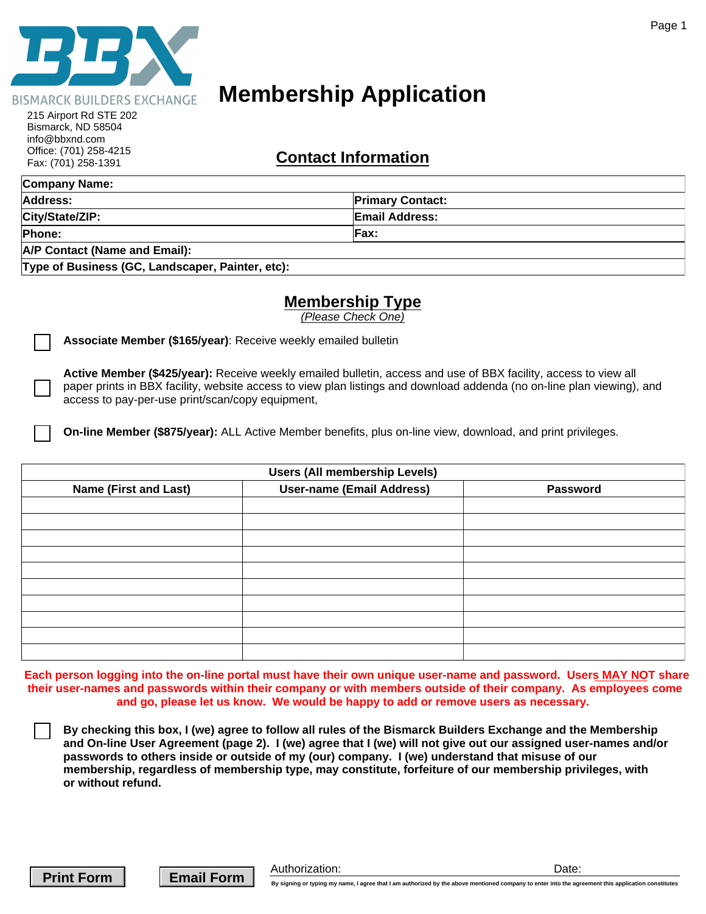

# **Membership Application**

| UIIICE. (701) 200-4210<br>Fax: (701) 258-1391    | <b>Contact Information</b> |  |
|--------------------------------------------------|----------------------------|--|
| Company Name:                                    |                            |  |
| Address:                                         | <b>Primary Contact:</b>    |  |
| City/State/ZIP:                                  | <b>Email Address:</b>      |  |
| Phone:                                           | Eax:                       |  |
| <b>A/P Contact (Name and Email):</b>             |                            |  |
| Type of Business (GC, Landscaper, Painter, etc): |                            |  |

# **Membership Type**

|                                                                                                                 |                                                                                                                                                                                                                                                                                                                                                                                                                                              | Page 1                                                                                                             |  |
|-----------------------------------------------------------------------------------------------------------------|----------------------------------------------------------------------------------------------------------------------------------------------------------------------------------------------------------------------------------------------------------------------------------------------------------------------------------------------------------------------------------------------------------------------------------------------|--------------------------------------------------------------------------------------------------------------------|--|
| <b>ISMARCK BUILDERS EXCHANGE</b>                                                                                | <b>Membership Application</b>                                                                                                                                                                                                                                                                                                                                                                                                                |                                                                                                                    |  |
| 215 Airport Rd STE 202<br>Bismarck, ND 58504<br>info@bbxnd.com<br>Office: (701) 258-4215<br>Fax: (701) 258-1391 | <b>Contact Information</b>                                                                                                                                                                                                                                                                                                                                                                                                                   |                                                                                                                    |  |
| <b>Company Name:</b>                                                                                            |                                                                                                                                                                                                                                                                                                                                                                                                                                              |                                                                                                                    |  |
| <b>Address:</b>                                                                                                 | <b>Primary Contact:</b>                                                                                                                                                                                                                                                                                                                                                                                                                      |                                                                                                                    |  |
| City/State/ZIP:                                                                                                 | <b>Email Address:</b>                                                                                                                                                                                                                                                                                                                                                                                                                        |                                                                                                                    |  |
| Phone:                                                                                                          | <b>Fax:</b>                                                                                                                                                                                                                                                                                                                                                                                                                                  |                                                                                                                    |  |
| <b>A/P Contact (Name and Email):</b>                                                                            |                                                                                                                                                                                                                                                                                                                                                                                                                                              |                                                                                                                    |  |
| Type of Business (GC, Landscaper, Painter, etc):                                                                |                                                                                                                                                                                                                                                                                                                                                                                                                                              |                                                                                                                    |  |
|                                                                                                                 | <b>Membership Type</b><br>(Please Check One)                                                                                                                                                                                                                                                                                                                                                                                                 |                                                                                                                    |  |
| Associate Member (\$165/year): Receive weekly emailed bulletin                                                  |                                                                                                                                                                                                                                                                                                                                                                                                                                              |                                                                                                                    |  |
| access to pay-per-use print/scan/copy equipment,                                                                | Active Member (\$425/year): Receive weekly emailed bulletin, access and use of BBX facility, access to view all<br>paper prints in BBX facility, website access to view plan listings and download addenda (no on-line plan viewing), and                                                                                                                                                                                                    |                                                                                                                    |  |
|                                                                                                                 | On-line Member (\$875/year): ALL Active Member benefits, plus on-line view, download, and print privileges.                                                                                                                                                                                                                                                                                                                                  |                                                                                                                    |  |
| <b>Users (All membership Levels)</b>                                                                            |                                                                                                                                                                                                                                                                                                                                                                                                                                              |                                                                                                                    |  |
| <b>Name (First and Last)</b>                                                                                    | <b>User-name (Email Address)</b>                                                                                                                                                                                                                                                                                                                                                                                                             | <b>Password</b>                                                                                                    |  |
|                                                                                                                 |                                                                                                                                                                                                                                                                                                                                                                                                                                              |                                                                                                                    |  |
|                                                                                                                 |                                                                                                                                                                                                                                                                                                                                                                                                                                              |                                                                                                                    |  |
|                                                                                                                 |                                                                                                                                                                                                                                                                                                                                                                                                                                              |                                                                                                                    |  |
|                                                                                                                 |                                                                                                                                                                                                                                                                                                                                                                                                                                              |                                                                                                                    |  |
|                                                                                                                 |                                                                                                                                                                                                                                                                                                                                                                                                                                              |                                                                                                                    |  |
|                                                                                                                 |                                                                                                                                                                                                                                                                                                                                                                                                                                              |                                                                                                                    |  |
|                                                                                                                 |                                                                                                                                                                                                                                                                                                                                                                                                                                              |                                                                                                                    |  |
|                                                                                                                 |                                                                                                                                                                                                                                                                                                                                                                                                                                              |                                                                                                                    |  |
|                                                                                                                 | their user-names and passwords within their company or with members outside of their company. As employees come<br>and go, please let us know. We would be happy to add or remove users as necessary.                                                                                                                                                                                                                                        | Each person logging into the on-line portal must have their own unique user-name and password. Users MAY NOT share |  |
| or without refund.                                                                                              | By checking this box, I (we) agree to follow all rules of the Bismarck Builders Exchange and the Membership<br>and On-line User Agreement (page 2). I (we) agree that I (we) will not give out our assigned user-names and/or<br>passwords to others inside or outside of my (our) company. I (we) understand that misuse of our<br>membership, regardless of membership type, may constitute, forfeiture of our membership privileges, with |                                                                                                                    |  |

**Print Form**  $\parallel$  **Email Form** 

Authorization: Date: